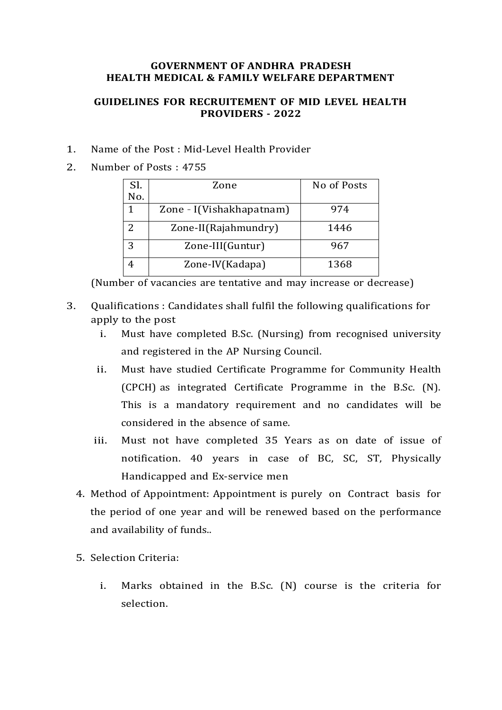## **GOVERNMENT OF ANDHRA PRADESH HEALTH MEDICAL & FAMILY WELFARE DEPARTMENT**

## **GUIDELINES FOR RECRUITEMENT OF MID LEVEL HEALTH PROVIDERS - 2022**

- 1. Name of the Post : Mid-Level Health Provider
- 2. Number of Posts : 4755

| Sl.           | Zone                     | No of Posts |
|---------------|--------------------------|-------------|
| No.           |                          |             |
|               | Zone - I(Vishakhapatnam) | 974         |
| $\mathcal{P}$ | Zone-II(Rajahmundry)     | 1446        |
| 3             | Zone-III(Guntur)         | 967         |
|               | Zone-IV(Kadapa)          | 1368        |

(Number of vacancies are tentative and may increase or decrease)

- 3. Qualifications : Candidates shall fulfil the following qualifications for apply to the post
	- i. Must have completed B.Sc. (Nursing) from recognised university and registered in the AP Nursing Council.
	- ii. Must have studied Certificate Programme for Community Health (CPCH) as integrated Certificate Programme in the B.Sc. (N). This is a mandatory requirement and no candidates will be considered in the absence of same.
	- iii. Must not have completed 35 Years as on date of issue of notification. 40 years in case of BC, SC, ST, Physically Handicapped and Ex-service men
	- 4. Method of Appointment: Appointment is purely on Contract basis for the period of one year and will be renewed based on the performance and availability of funds..
	- 5. Selection Criteria:
		- i. Marks obtained in the B.Sc. (N) course is the criteria for selection.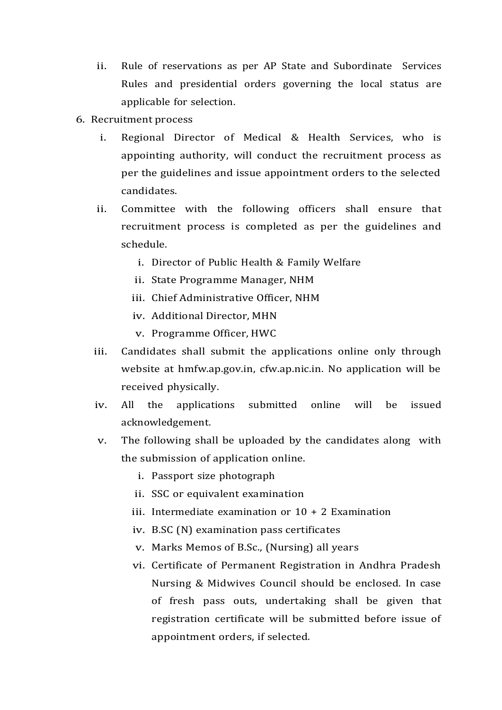- ii. Rule of reservations as per AP State and Subordinate Services Rules and presidential orders governing the local status are applicable for selection.
- 6. Recruitment process
	- i. Regional Director of Medical & Health Services, who is appointing authority, will conduct the recruitment process as per the guidelines and issue appointment orders to the selected candidates.
	- ii. Committee with the following officers shall ensure that recruitment process is completed as per the guidelines and schedule.
		- i. Director of Public Health & Family Welfare
		- ii. State Programme Manager, NHM
		- iii. Chief Administrative Officer, NHM
		- iv. Additional Director, MHN
		- v. Programme Officer, HWC
	- iii. Candidates shall submit the applications online only through website at hmfw.ap.gov.in, cfw.ap.nic.in. No application will be received physically.
	- iv. All the applications submitted online will be issued acknowledgement.
	- v. The following shall be uploaded by the candidates along with the submission of application online.
		- i. Passport size photograph
		- ii. SSC or equivalent examination
		- iii. Intermediate examination or 10 + 2 Examination
		- iv. B.SC (N) examination pass certificates
		- v. Marks Memos of B.Sc., (Nursing) all years
		- vi. Certificate of Permanent Registration in Andhra Pradesh Nursing & Midwives Council should be enclosed. In case of fresh pass outs, undertaking shall be given that registration certificate will be submitted before issue of appointment orders, if selected.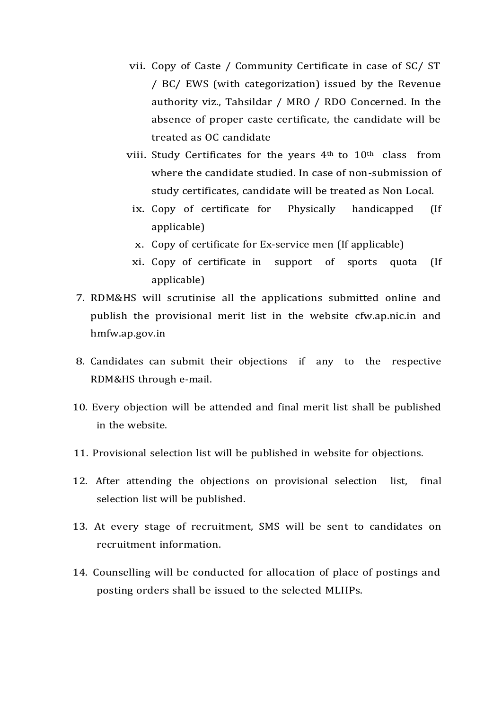- vii. Copy of Caste / Community Certificate in case of SC/ ST / BC/ EWS (with categorization) issued by the Revenue authority viz., Tahsildar / MRO / RDO Concerned. In the absence of proper caste certificate, the candidate will be treated as OC candidate
- viii. Study Certificates for the years 4<sup>th</sup> to 10<sup>th</sup> class from where the candidate studied. In case of non-submission of study certificates, candidate will be treated as Non Local.
	- ix. Copy of certificate for Physically handicapped (If applicable)
	- x. Copy of certificate for Ex-service men (If applicable)
	- xi. Copy of certificate in support of sports quota (If applicable)
- 7. RDM&HS will scrutinise all the applications submitted online and publish the provisional merit list in the website cfw.ap.nic.in and hmfw.ap.gov.in
- 8. Candidates can submit their objections if any to the respective RDM&HS through e-mail.
- 10. Every objection will be attended and final merit list shall be published in the website.
- 11. Provisional selection list will be published in website for objections.
- 12. After attending the objections on provisional selection list, final selection list will be published.
- 13. At every stage of recruitment, SMS will be sent to candidates on recruitment information.
- 14. Counselling will be conducted for allocation of place of postings and posting orders shall be issued to the selected MLHPs.